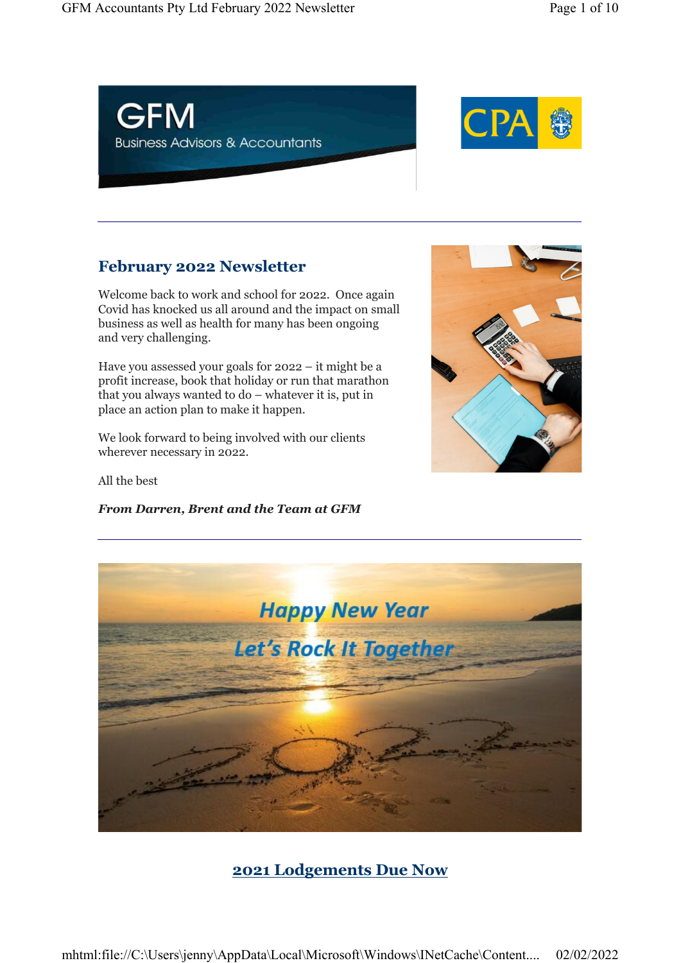



## February 2022 Newsletter

Welcome back to work and school for 2022. Once again Covid has knocked us all around and the impact on small business as well as health for many has been ongoing and very challenging.

Have you assessed your goals for 2022 – it might be a profit increase, book that holiday or run that marathon that you always wanted to do – whatever it is, put in place an action plan to make it happen.

We look forward to being involved with our clients wherever necessary in 2022.

All the best

From Darren, Brent and the Team at GFM





# 2021 Lodgements Due Now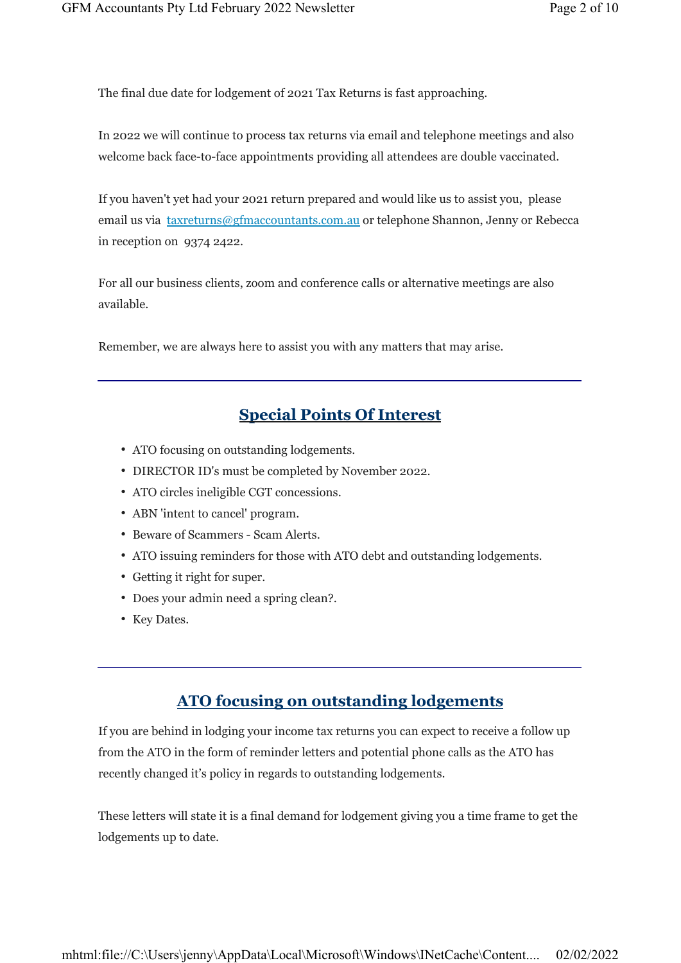The final due date for lodgement of 2021 Tax Returns is fast approaching.

In 2022 we will continue to process tax returns via email and telephone meetings and also welcome back face-to-face appointments providing all attendees are double vaccinated.

If you haven't yet had your 2021 return prepared and would like us to assist you, please email us via taxreturns@gfmaccountants.com.au or telephone Shannon, Jenny or Rebecca in reception on 9374 2422.

For all our business clients, zoom and conference calls or alternative meetings are also available.

Remember, we are always here to assist you with any matters that may arise.

### Special Points Of Interest

- ATO focusing on outstanding lodgements.
- DIRECTOR ID's must be completed by November 2022.
- ATO circles ineligible CGT concessions.
- ABN 'intent to cancel' program.
- Beware of Scammers Scam Alerts.
- ATO issuing reminders for those with ATO debt and outstanding lodgements.
- Getting it right for super.
- Does your admin need a spring clean?.
- Key Dates.

### ATO focusing on outstanding lodgements

If you are behind in lodging your income tax returns you can expect to receive a follow up from the ATO in the form of reminder letters and potential phone calls as the ATO has recently changed it's policy in regards to outstanding lodgements.

These letters will state it is a final demand for lodgement giving you a time frame to get the lodgements up to date.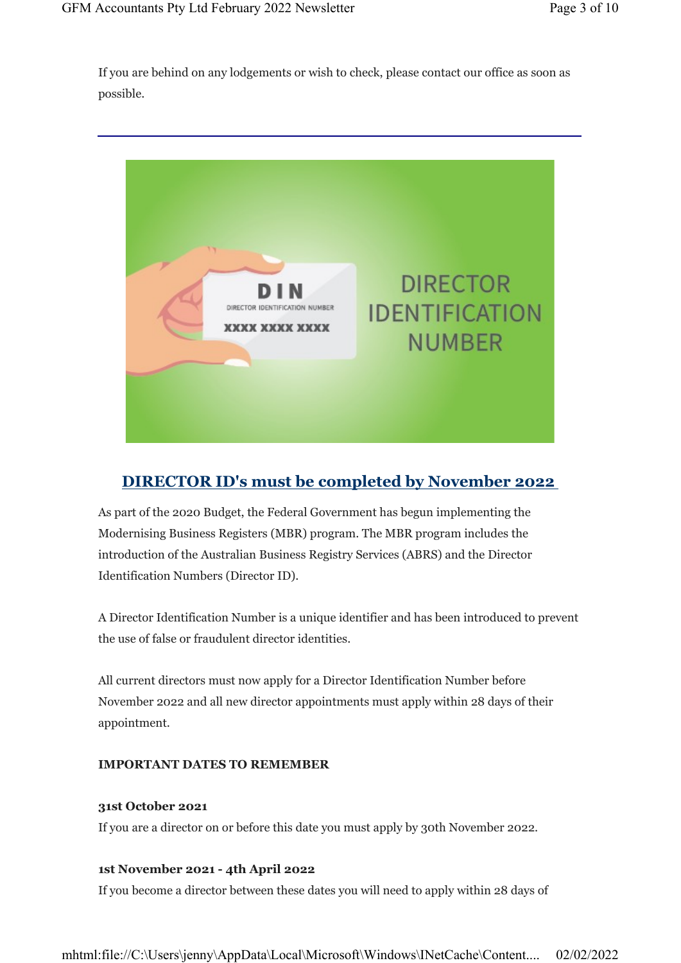If you are behind on any lodgements or wish to check, please contact our office as soon as possible.



## DIRECTOR ID's must be completed by November 2022

As part of the 2020 Budget, the Federal Government has begun implementing the Modernising Business Registers (MBR) program. The MBR program includes the introduction of the Australian Business Registry Services (ABRS) and the Director Identification Numbers (Director ID).

A Director Identification Number is a unique identifier and has been introduced to prevent the use of false or fraudulent director identities.

All current directors must now apply for a Director Identification Number before November 2022 and all new director appointments must apply within 28 days of their appointment.

### IMPORTANT DATES TO REMEMBER

#### 31st October 2021

If you are a director on or before this date you must apply by 30th November 2022.

#### 1st November 2021 - 4th April 2022

If you become a director between these dates you will need to apply within 28 days of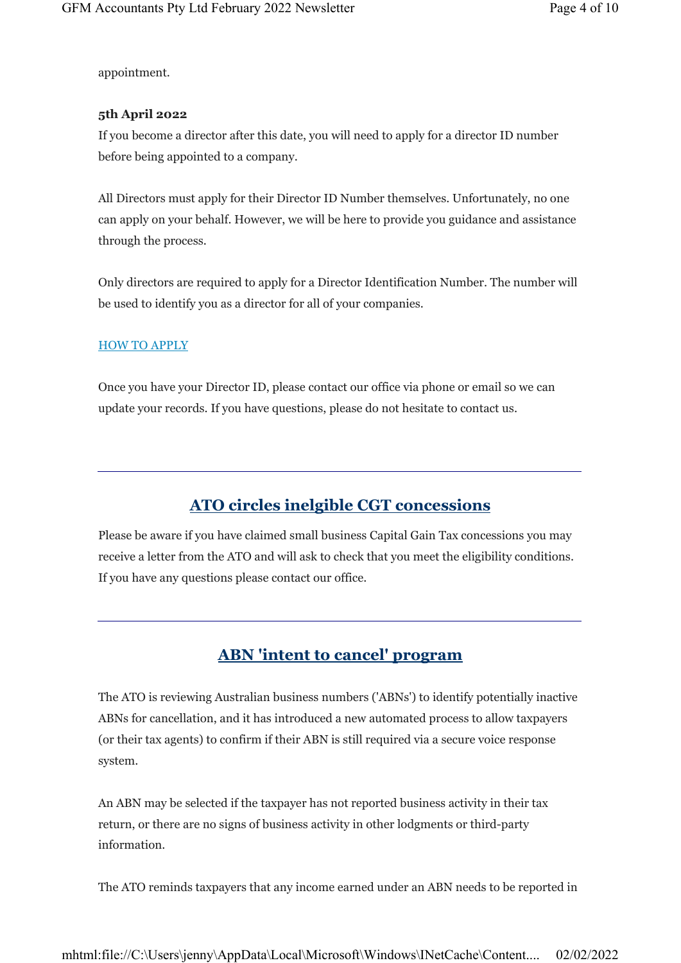appointment.

#### 5th April 2022

If you become a director after this date, you will need to apply for a director ID number before being appointed to a company.

All Directors must apply for their Director ID Number themselves. Unfortunately, no one can apply on your behalf. However, we will be here to provide you guidance and assistance through the process.

Only directors are required to apply for a Director Identification Number. The number will be used to identify you as a director for all of your companies.

#### HOW TO APPLY

Once you have your Director ID, please contact our office via phone or email so we can update your records. If you have questions, please do not hesitate to contact us.

## ATO circles inelgible CGT concessions

Please be aware if you have claimed small business Capital Gain Tax concessions you may receive a letter from the ATO and will ask to check that you meet the eligibility conditions. If you have any questions please contact our office.

### ABN 'intent to cancel' program

The ATO is reviewing Australian business numbers ('ABNs') to identify potentially inactive ABNs for cancellation, and it has introduced a new automated process to allow taxpayers (or their tax agents) to confirm if their ABN is still required via a secure voice response system.

An ABN may be selected if the taxpayer has not reported business activity in their tax return, or there are no signs of business activity in other lodgments or third-party information.

The ATO reminds taxpayers that any income earned under an ABN needs to be reported in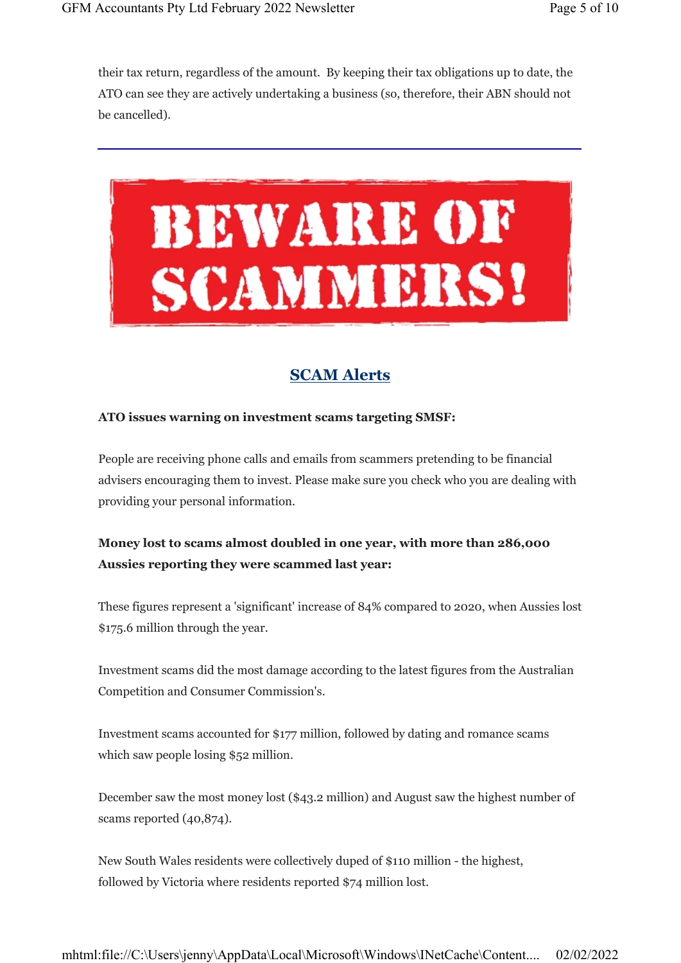their tax return, regardless of the amount. By keeping their tax obligations up to date, the ATO can see they are actively undertaking a business (so, therefore, their ABN should not be cancelled).



### SCAM Alerts

#### ATO issues warning on investment scams targeting SMSF:

People are receiving phone calls and emails from scammers pretending to be financial advisers encouraging them to invest. Please make sure you check who you are dealing with providing your personal information.

### Money lost to scams almost doubled in one year, with more than 286,000 Aussies reporting they were scammed last year:

These figures represent a 'significant' increase of 84% compared to 2020, when Aussies lost \$175.6 million through the year.

Investment scams did the most damage according to the latest figures from the Australian Competition and Consumer Commission's.

Investment scams accounted for \$177 million, followed by dating and romance scams which saw people losing \$52 million.

December saw the most money lost (\$43.2 million) and August saw the highest number of scams reported (40,874).

New South Wales residents were collectively duped of \$110 million - the highest, followed by Victoria where residents reported \$74 million lost.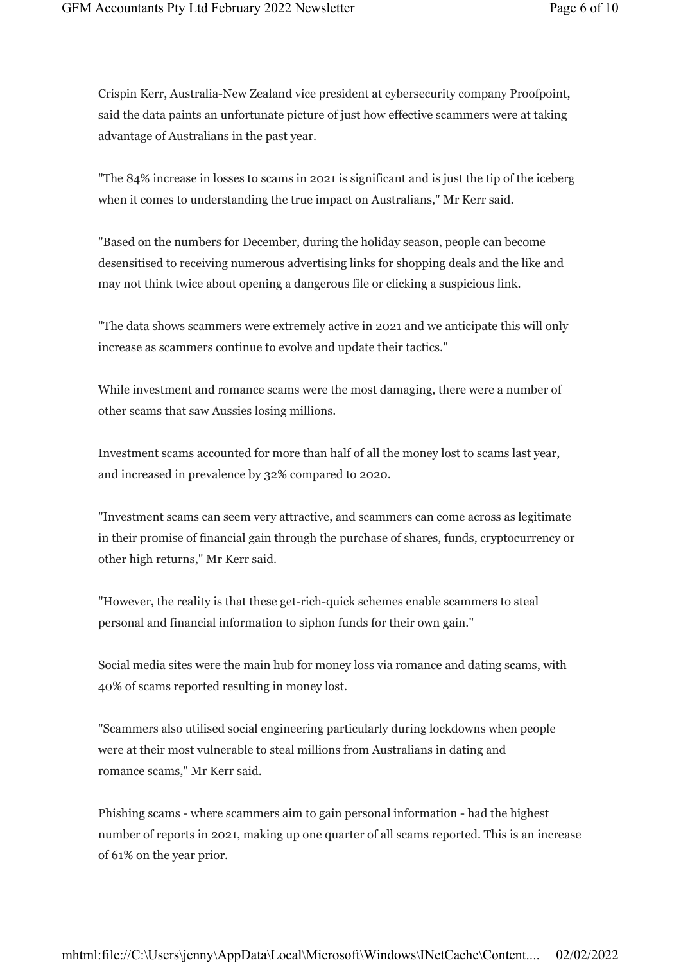Crispin Kerr, Australia-New Zealand vice president at cybersecurity company Proofpoint, said the data paints an unfortunate picture of just how effective scammers were at taking advantage of Australians in the past year.

"The 84% increase in losses to scams in 2021 is significant and is just the tip of the iceberg when it comes to understanding the true impact on Australians," Mr Kerr said.

"Based on the numbers for December, during the holiday season, people can become desensitised to receiving numerous advertising links for shopping deals and the like and may not think twice about opening a dangerous file or clicking a suspicious link.

"The data shows scammers were extremely active in 2021 and we anticipate this will only increase as scammers continue to evolve and update their tactics."

While investment and romance scams were the most damaging, there were a number of other scams that saw Aussies losing millions.

Investment scams accounted for more than half of all the money lost to scams last year, and increased in prevalence by 32% compared to 2020.

"Investment scams can seem very attractive, and scammers can come across as legitimate in their promise of financial gain through the purchase of shares, funds, cryptocurrency or other high returns," Mr Kerr said.

"However, the reality is that these get-rich-quick schemes enable scammers to steal personal and financial information to siphon funds for their own gain."

Social media sites were the main hub for money loss via romance and dating scams, with 40% of scams reported resulting in money lost.

"Scammers also utilised social engineering particularly during lockdowns when people were at their most vulnerable to steal millions from Australians in dating and romance scams," Mr Kerr said.

Phishing scams - where scammers aim to gain personal information - had the highest number of reports in 2021, making up one quarter of all scams reported. This is an increase of 61% on the year prior.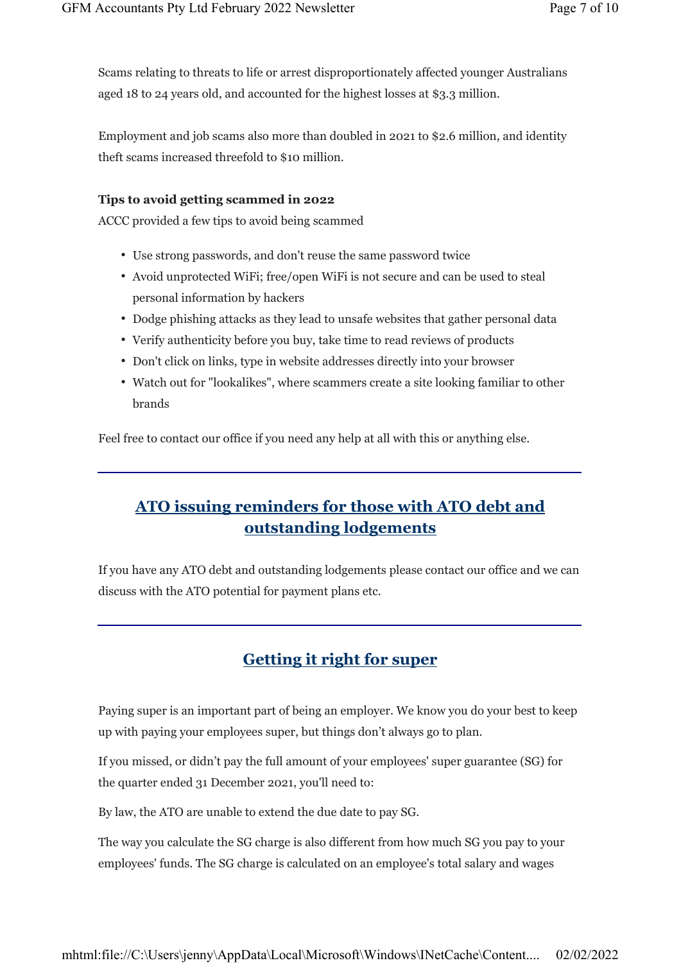Scams relating to threats to life or arrest disproportionately affected younger Australians aged 18 to 24 years old, and accounted for the highest losses at \$3.3 million.

Employment and job scams also more than doubled in 2021 to \$2.6 million, and identity theft scams increased threefold to \$10 million.

#### Tips to avoid getting scammed in 2022

ACCC provided a few tips to avoid being scammed

- Use strong passwords, and don't reuse the same password twice
- Avoid unprotected WiFi; free/open WiFi is not secure and can be used to steal personal information by hackers
- Dodge phishing attacks as they lead to unsafe websites that gather personal data
- Verify authenticity before you buy, take time to read reviews of products
- Don't click on links, type in website addresses directly into your browser
- Watch out for "lookalikes", where scammers create a site looking familiar to other brands

Feel free to contact our office if you need any help at all with this or anything else.

# ATO issuing reminders for those with ATO debt and outstanding lodgements

If you have any ATO debt and outstanding lodgements please contact our office and we can discuss with the ATO potential for payment plans etc.

## Getting it right for super

Paying super is an important part of being an employer. We know you do your best to keep up with paying your employees super, but things don't always go to plan.

If you missed, or didn't pay the full amount of your employees' super guarantee (SG) for the quarter ended 31 December 2021, you'll need to:

By law, the ATO are unable to extend the due date to pay SG.

The way you calculate the SG charge is also different from how much SG you pay to your employees' funds. The SG charge is calculated on an employee's total salary and wages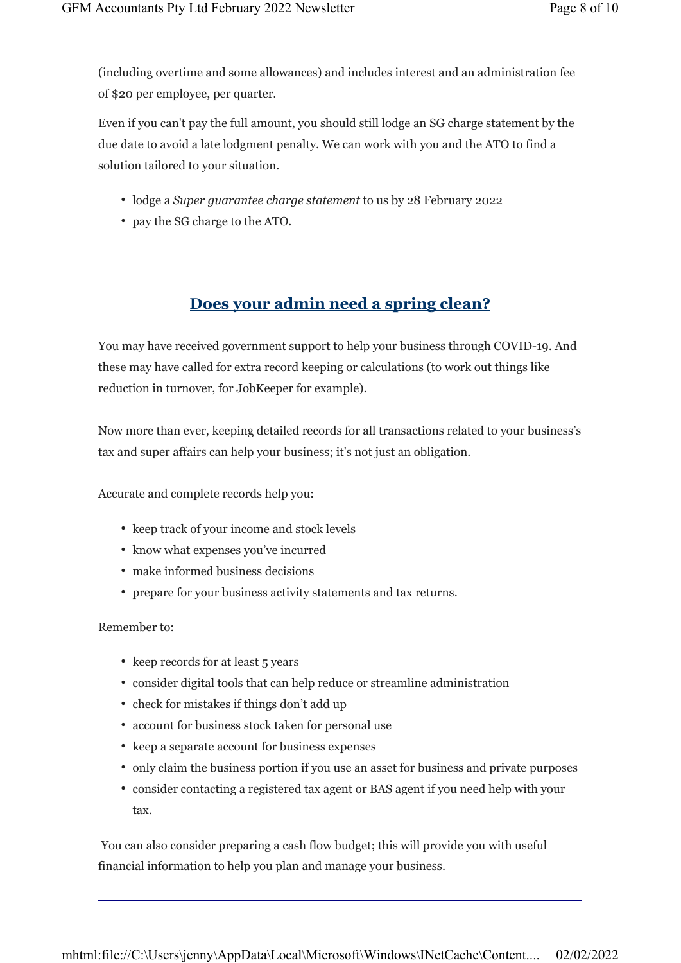(including overtime and some allowances) and includes interest and an administration fee of \$20 per employee, per quarter.

Even if you can't pay the full amount, you should still lodge an SG charge statement by the due date to avoid a late lodgment penalty. We can work with you and the ATO to find a solution tailored to your situation.

- lodge a Super guarantee charge statement to us by 28 February 2022
- pay the SG charge to the ATO.

### Does your admin need a spring clean?

You may have received government support to help your business through COVID-19. And these may have called for extra record keeping or calculations (to work out things like reduction in turnover, for JobKeeper for example).

Now more than ever, keeping detailed records for all transactions related to your business's tax and super affairs can help your business; it's not just an obligation.

Accurate and complete records help you:

- keep track of your income and stock levels
- know what expenses you've incurred
- make informed business decisions
- prepare for your business activity statements and tax returns.

#### Remember to:

- keep records for at least 5 years
- consider digital tools that can help reduce or streamline administration
- check for mistakes if things don't add up
- account for business stock taken for personal use
- keep a separate account for business expenses
- only claim the business portion if you use an asset for business and private purposes
- consider contacting a registered tax agent or BAS agent if you need help with your tax.

 You can also consider preparing a cash flow budget; this will provide you with useful financial information to help you plan and manage your business.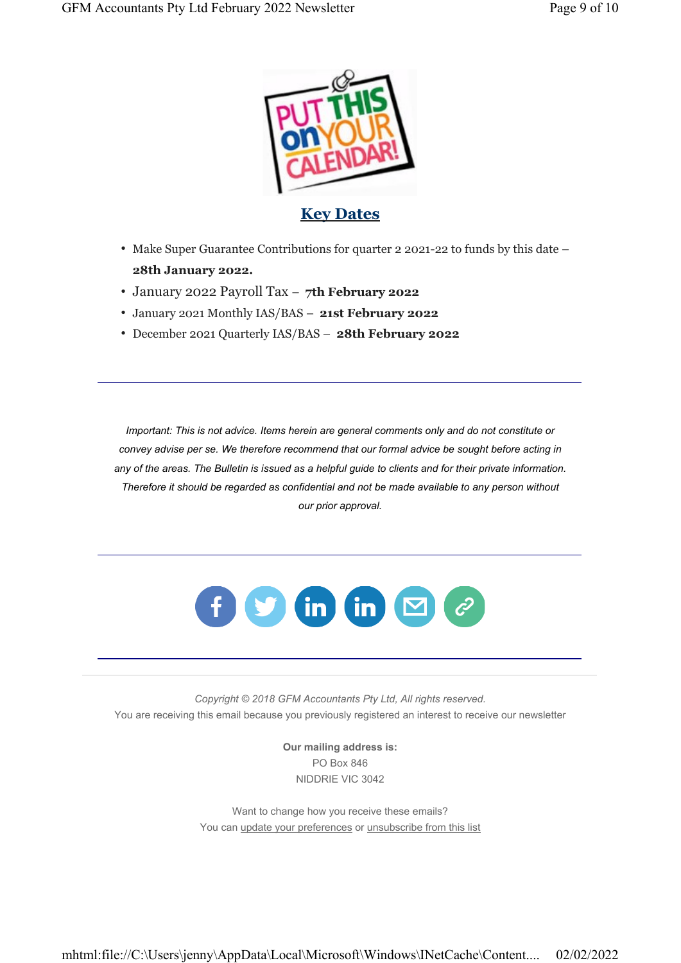

**Key Dates** 

- Make Super Guarantee Contributions for quarter 2 2021-22 to funds by this date 28th January 2022.
- January 2022 Payroll Tax 7th February 2022
- January 2021 Monthly IAS/BAS 21st February 2022
- December 2021 Quarterly IAS/BAS 28th February 2022

Important: This is not advice. Items herein are general comments only and do not constitute or convey advise per se. We therefore recommend that our formal advice be sought before acting in any of the areas. The Bulletin is issued as a helpful guide to clients and for their private information. Therefore it should be regarded as confidential and not be made available to any person without our prior approval.



Copyright © 2018 GFM Accountants Pty Ltd, All rights reserved. You are receiving this email because you previously registered an interest to receive our newsletter

> Our mailing address is: PO Box 846 NIDDRIE VIC 3042

Want to change how you receive these emails? You can update your preferences or unsubscribe from this list